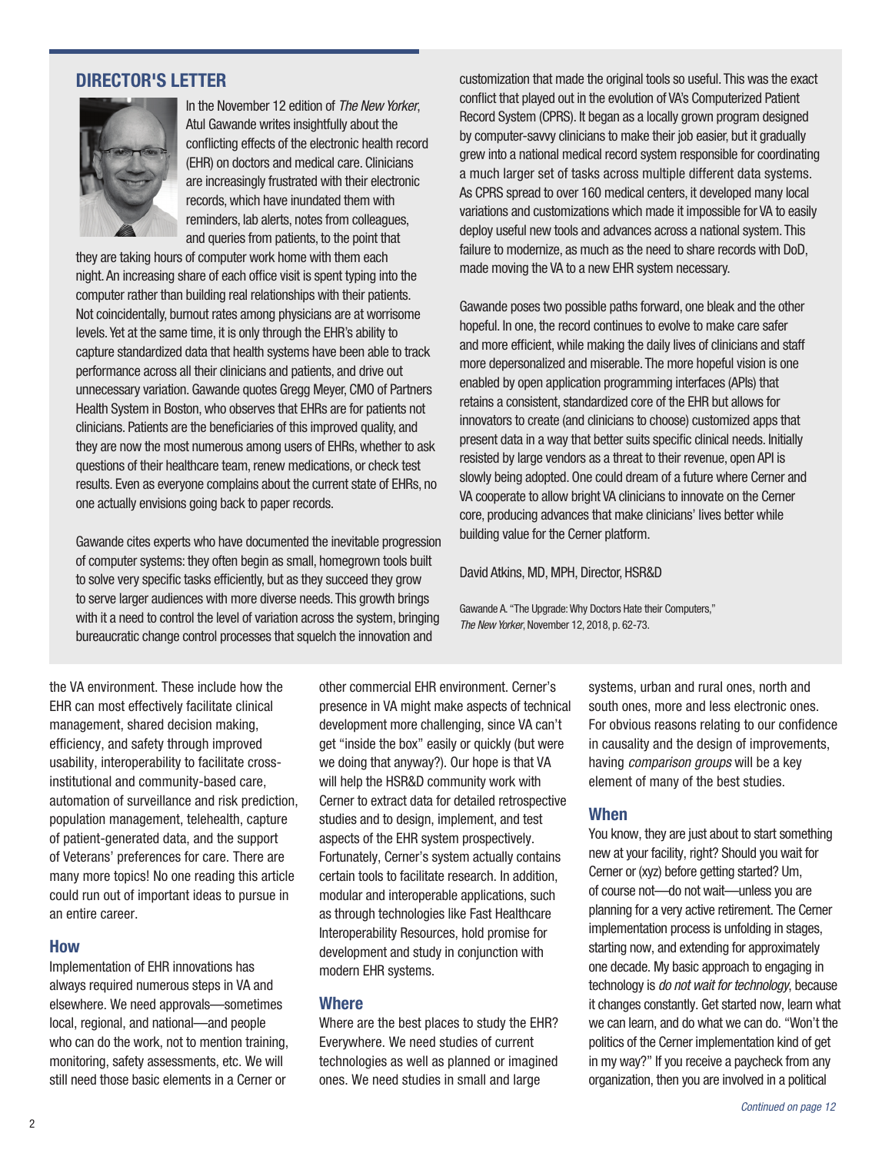

computer rather than building real relationships with their patients.<br>
Not coincidentally, burnout rates among physicians are at worrisome<br>
levels. Yet at the same time, it is only through the EHR's ability to<br>
capture sta

Gawande cites experts who have documented the inevitable progression building value for the Cerner platform. of computer systems: they often begin as small, homegrown tools built<br>to solve very specific tasks efficiently, but as they succeed they grow David Atkins, MD, MPH, Director, HSR&D to serve larger audiences with more diverse needs. This growth brings<br>with it a need to control the level of variation across the system, bringing<br>The New Yorker, November 12, 2018, p. 62-73. bureaucratic change control processes that squelch the innovation and

a much larger set of tasks across multiple different data systems. deploy useful new tools and advances across a national system. This made moving the VA to a new EHR system necessary. **DIRECTOR'S LETTER**<br>customization that made the original tools so useful. This was the exact<br>conflict that played out in the evolution of VA's Computerized Patient In the November 12 edition of *The New Yorker*,<br>
Atul Gawande writes insightfully about the<br>
cond System (CPRS). It began as a locally grown program designed<br>
conflicting effects of the electronic health record<br>
conflictin

Gawande A. "The Upgrade: Why Doctors Hate their Computers,"

the VA environment. These include how the EHR can most effectively facilitate clinical management, shared decision making, efficiency, and safety through improved usability, interoperability to facilitate crossinstitutional and community-based care, automation of surveillance and risk prediction, population management, telehealth, capture of patient-generated data, and the support of Veterans' preferences for care. There are many more topics! No one reading this article could run out of important ideas to pursue in an entire career.

#### How

Implementation of EHR innovations has always required numerous steps in VA and elsewhere. We need approvals—sometimes local, regional, and national—and people who can do the work, not to mention training, monitoring, safety assessments, etc. We will still need those basic elements in a Cerner or

other commercial EHR environment. Cerner's presence in VA might make aspects of technical development more challenging, since VA can't get "inside the box" easily or quickly (but were we doing that anyway?). Our hope is that VA will help the HSR&D community work with Cerner to extract data for detailed retrospective studies and to design, implement, and test aspects of the EHR system prospectively. Fortunately, Cerner's system actually contains certain tools to facilitate research. In addition, modular and interoperable applications, such as through technologies like Fast Healthcare Interoperability Resources, hold promise for development and study in conjunction with modern EHR systems.

#### Where

Where are the best places to study the EHR? Everywhere. We need studies of current technologies as well as planned or imagined ones. We need studies in small and large

systems, urban and rural ones, north and south ones, more and less electronic ones. For obvious reasons relating to our confdence in causality and the design of improvements, having *comparison groups* will be a key element of many of the best studies.

#### When

You know, they are just about to start something new at your facility, right? Should you wait for Cerner or (xyz) before getting started? Um, of course not—do not wait—unless you are planning for a very active retirement. The Cerner implementation process is unfolding in stages, starting now, and extending for approximately one decade. My basic approach to engaging in technology is *do not wait for technology*, because it changes constantly. Get started now, learn what we can learn, and do what we can do. "Won't the politics of the Cerner implementation kind of get in my way?" If you receive a paycheck from any organization, then you are involved in a political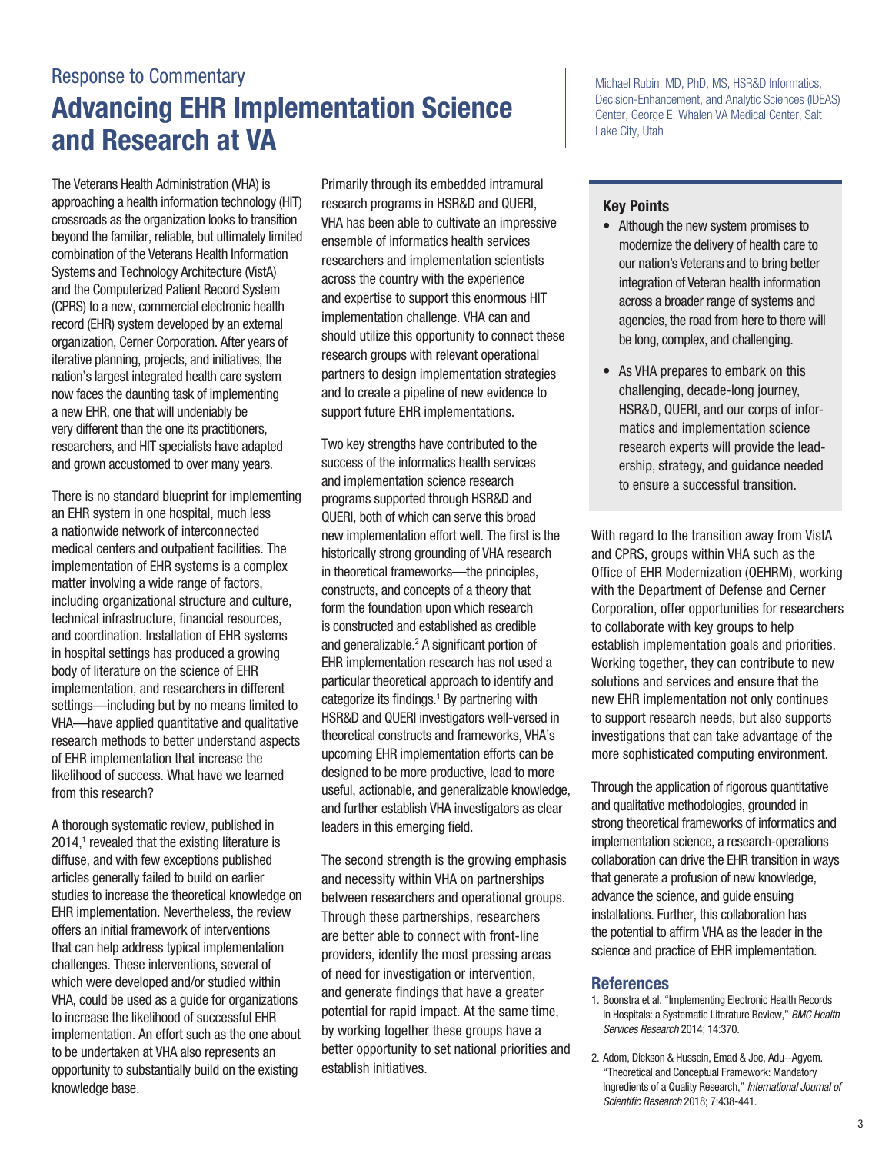## Response to Commentary Advancing EHR Implementation Science and Research at VA

The Veterans Health Administration (VHA) is approaching a health information technology (HIT) crossroads as the organization looks to transition beyond the familiar, reliable, but ultimately limited combination of the Veterans Health Information Systems and Technology Architecture (VistA) and the Computerized Patient Record System (CPRS) to a new, commercial electronic health record (EHR) system developed by an external organization, Cerner Corporation. After years of iterative planning, projects, and initiatives, the nation's largest integrated health care system now faces the daunting task of implementing a new EHR, one that will undeniably be very different than the one its practitioners, researchers, and HIT specialists have adapted and grown accustomed to over many years.

There is no standard blueprint for implementing an EHR system in one hospital, much less a nationwide network of interconnected medical centers and outpatient facilities. The implementation of EHR systems is a complex matter involving a wide range of factors, including organizational structure and culture, technical infrastructure, fnancial resources, and coordination. Installation of EHR systems in hospital settings has produced a growing body of literature on the science of EHR implementation, and researchers in different settings—including but by no means limited to VHA—have applied quantitative and qualitative research methods to better understand aspects of EHR implementation that increase the likelihood of success. What have we learned from this research?

A thorough systematic review, published in  $2014$ ,<sup>1</sup> revealed that the existing literature is diffuse, and with few exceptions published articles generally failed to build on earlier studies to increase the theoretical knowledge on EHR implementation. Nevertheless, the review offers an initial framework of interventions that can help address typical implementation challenges. These interventions, several of which were developed and/or studied within VHA, could be used as a guide for organizations to increase the likelihood of successful EHR implementation. An effort such as the one about to be undertaken at VHA also represents an opportunity to substantially build on the existing knowledge base.

Primarily through its embedded intramural research programs in HSR&D and QUERI, VHA has been able to cultivate an impressive ensemble of informatics health services researchers and implementation scientists across the country with the experience and expertise to support this enormous HIT implementation challenge. VHA can and should utilize this opportunity to connect these research groups with relevant operational partners to design implementation strategies and to create a pipeline of new evidence to support future EHR implementations.

Two key strengths have contributed to the success of the informatics health services and implementation science research programs supported through HSR&D and QUERI, both of which can serve this broad new implementation effort well. The frst is the historically strong grounding of VHA research in theoretical frameworks—the principles, constructs, and concepts of a theory that form the foundation upon which research is constructed and established as credible and generalizable.<sup>2</sup> A significant portion of EHR implementation research has not used a particular theoretical approach to identify and categorize its findings.<sup>1</sup> By partnering with HSR&D and QUERI investigators well-versed in theoretical constructs and frameworks, VHA's upcoming EHR implementation efforts can be designed to be more productive, lead to more useful, actionable, and generalizable knowledge, and further establish VHA investigators as clear leaders in this emerging field.

The second strength is the growing emphasis and necessity within VHA on partnerships between researchers and operational groups. Through these partnerships, researchers are better able to connect with front-line providers, identify the most pressing areas of need for investigation or intervention, and generate fndings that have a greater potential for rapid impact. At the same time, by working together these groups have a better opportunity to set national priorities and establish initiatives.

Michael Rubin, MD, PhD, MS, HSR&D Informatics, Decision-Enhancement, and Analytic Sciences (IDEAS) Center, George E. Whalen VA Medical Center, Salt Lake City, Utah

#### Key Points

- Although the new system promises to modernize the delivery of health care to our nation's Veterans and to bring better integration of Veteran health information across a broader range of systems and agencies, the road from here to there will be long, complex, and challenging.
- As VHA prepares to embark on this challenging, decade-long journey, HSR&D, QUERI, and our corps of informatics and implementation science research experts will provide the leadership, strategy, and guidance needed to ensure a successful transition.

With regard to the transition away from VistA and CPRS, groups within VHA such as the Office of EHR Modernization (OEHRM), working with the Department of Defense and Cerner Corporation, offer opportunities for researchers to collaborate with key groups to help establish implementation goals and priorities. Working together, they can contribute to new solutions and services and ensure that the new EHR implementation not only continues to support research needs, but also supports investigations that can take advantage of the more sophisticated computing environment.

Through the application of rigorous quantitative and qualitative methodologies, grounded in strong theoretical frameworks of informatics and implementation science, a research-operations collaboration can drive the EHR transition in ways that generate a profusion of new knowledge, advance the science, and guide ensuing installations. Further, this collaboration has the potential to affrm VHA as the leader in the science and practice of EHR implementation.

- 1. Boonstra et al. "Implementing Electronic Health Records in Hospitals: a Systematic Literature Review," *BMC Health Services Research* 2014; 14:370.
- 2. Adom, Dickson & Hussein, Emad & Joe, Adu--Agyem. "Theoretical and Conceptual Framework: Mandatory Ingredients of a Quality Research," *International Journal of Scientifc Research* 2018; 7:438-441.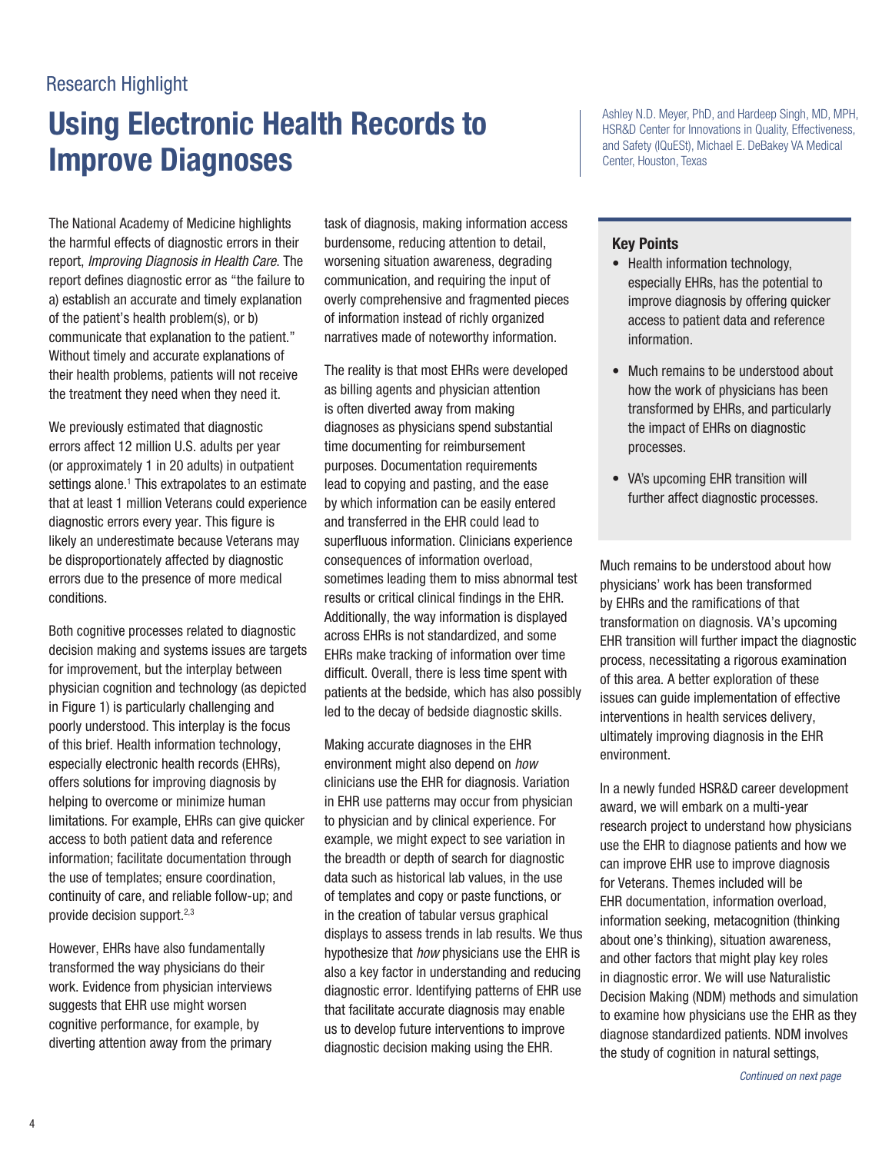### Research Highlight

# Using Electronic Health Records to Improve Diagnoses

The National Academy of Medicine highlights the harmful effects of diagnostic errors in their report, *Improving Diagnosis in Health Care*. The report defnes diagnostic error as "the failure to a) establish an accurate and timely explanation of the patient's health problem(s), or b) communicate that explanation to the patient." Without timely and accurate explanations of their health problems, patients will not receive the treatment they need when they need it.

We previously estimated that diagnostic errors affect 12 million U.S. adults per year (or approximately 1 in 20 adults) in outpatient settings alone.<sup>1</sup> This extrapolates to an estimate that at least 1 million Veterans could experience diagnostic errors every year. This figure is likely an underestimate because Veterans may be disproportionately affected by diagnostic errors due to the presence of more medical conditions.

Both cognitive processes related to diagnostic decision making and systems issues are targets for improvement, but the interplay between physician cognition and technology (as depicted in Figure 1) is particularly challenging and poorly understood. This interplay is the focus of this brief. Health information technology, especially electronic health records (EHRs), offers solutions for improving diagnosis by helping to overcome or minimize human limitations. For example, EHRs can give quicker access to both patient data and reference information; facilitate documentation through the use of templates; ensure coordination, continuity of care, and reliable follow-up; and provide decision support.2,3

However, EHRs have also fundamentally transformed the way physicians do their work. Evidence from physician interviews suggests that EHR use might worsen cognitive performance, for example, by diverting attention away from the primary task of diagnosis, making information access burdensome, reducing attention to detail, worsening situation awareness, degrading communication, and requiring the input of overly comprehensive and fragmented pieces of information instead of richly organized narratives made of noteworthy information.

The reality is that most EHRs were developed as billing agents and physician attention is often diverted away from making diagnoses as physicians spend substantial time documenting for reimbursement purposes. Documentation requirements lead to copying and pasting, and the ease by which information can be easily entered and transferred in the EHR could lead to superfuous information. Clinicians experience consequences of information overload, sometimes leading them to miss abnormal test results or critical clinical findings in the EHR. Additionally, the way information is displayed across EHRs is not standardized, and some EHRs make tracking of information over time difficult. Overall, there is less time spent with patients at the bedside, which has also possibly led to the decay of bedside diagnostic skills.

Making accurate diagnoses in the EHR environment might also depend on *how*  clinicians use the EHR for diagnosis. Variation in EHR use patterns may occur from physician to physician and by clinical experience. For example, we might expect to see variation in the breadth or depth of search for diagnostic data such as historical lab values, in the use of templates and copy or paste functions, or in the creation of tabular versus graphical displays to assess trends in lab results. We thus hypothesize that *how* physicians use the EHR is also a key factor in understanding and reducing diagnostic error. Identifying patterns of EHR use that facilitate accurate diagnosis may enable us to develop future interventions to improve diagnostic decision making using the EHR.

Ashley N.D. Meyer, PhD, and Hardeep Singh, MD, MPH, HSR&D Center for Innovations in Quality, Effectiveness, and Safety (IQuESt), Michael E. DeBakey VA Medical Center, Houston, Texas

#### Key Points

- Health information technology, especially EHRs, has the potential to improve diagnosis by offering quicker access to patient data and reference information.
- Much remains to be understood about how the work of physicians has been transformed by EHRs, and particularly the impact of EHRs on diagnostic processes.
- VA's upcoming EHR transition will further affect diagnostic processes.

Much remains to be understood about how physicians' work has been transformed by EHRs and the ramifcations of that transformation on diagnosis. VA's upcoming EHR transition will further impact the diagnostic process, necessitating a rigorous examination of this area. A better exploration of these issues can guide implementation of effective interventions in health services delivery, ultimately improving diagnosis in the EHR environment.

In a newly funded HSR&D career development award, we will embark on a multi-year research project to understand how physicians use the EHR to diagnose patients and how we can improve EHR use to improve diagnosis for Veterans. Themes included will be EHR documentation, information overload, information seeking, metacognition (thinking about one's thinking), situation awareness, and other factors that might play key roles in diagnostic error. We will use Naturalistic Decision Making (NDM) methods and simulation to examine how physicians use the EHR as they diagnose standardized patients. NDM involves the study of cognition in natural settings,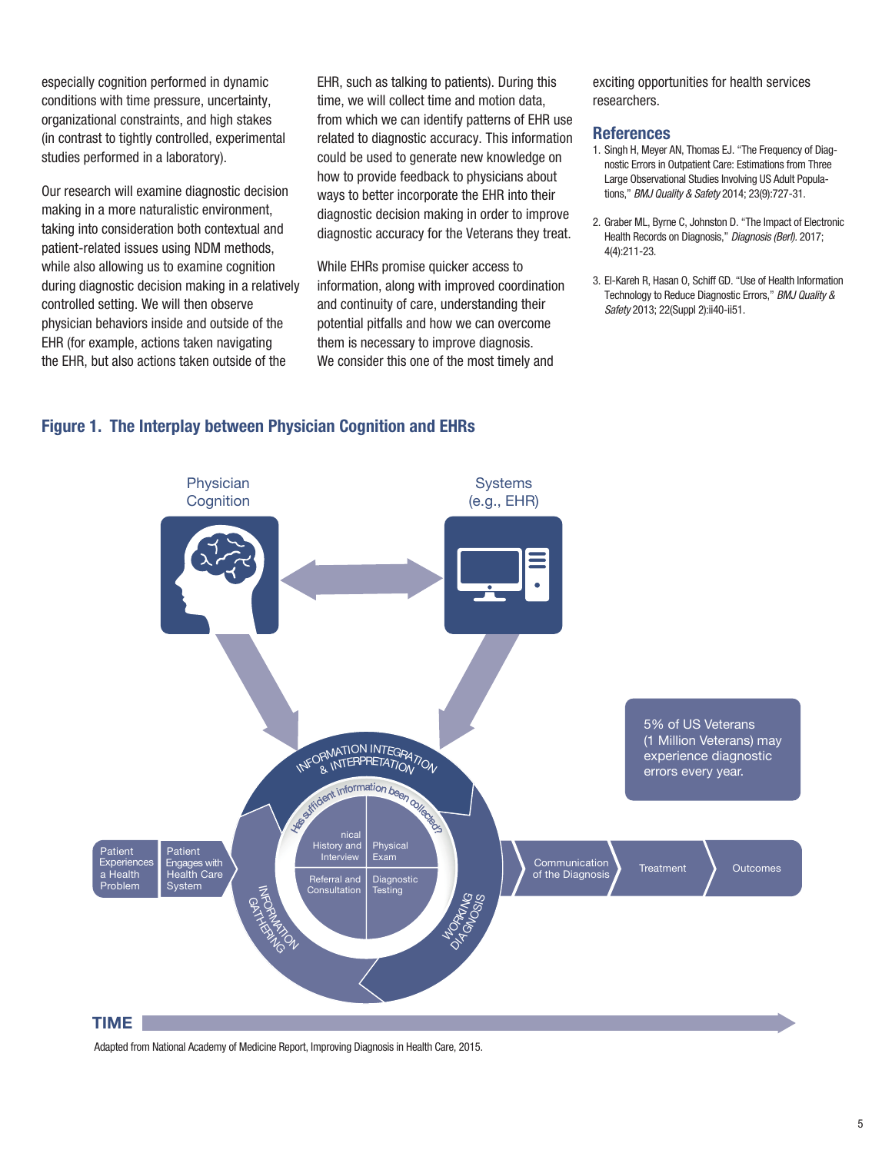especially cognition performed in dynamic conditions with time pressure, uncertainty, organizational constraints, and high stakes (in contrast to tightly controlled, experimental studies performed in a laboratory).

Our research will examine diagnostic decision making in a more naturalistic environment, taking into consideration both contextual and patient-related issues using NDM methods, while also allowing us to examine cognition during diagnostic decision making in a relatively controlled setting. We will then observe physician behaviors inside and outside of the EHR (for example, actions taken navigating the EHR, but also actions taken outside of the

EHR, such as talking to patients). During this time, we will collect time and motion data, from which we can identify patterns of EHR use related to diagnostic accuracy. This information could be used to generate new knowledge on how to provide feedback to physicians about ways to better incorporate the EHR into their diagnostic decision making in order to improve diagnostic accuracy for the Veterans they treat.

While EHRs promise quicker access to information, along with improved coordination and continuity of care, understanding their potential pitfalls and how we can overcome them is necessary to improve diagnosis. We consider this one of the most timely and

exciting opportunities for health services researchers.

#### References

- 1. Singh H, Meyer AN, Thomas EJ. "The Frequency of Diagnostic Errors in Outpatient Care: Estimations from Three Large Observational Studies Involving US Adult Populations," *BMJ Quality & Safety* 2014; 23(9):727-31.
- 2. Graber ML, Byrne C, Johnston D. "The Impact of Electronic Health Records on Diagnosis," *Diagnosis (Berl).* 2017; 4(4):211-23.
- 3. El-Kareh R, Hasan O, Schiff GD. "Use of Health Information Technology to Reduce Diagnostic Errors," *BMJ Quality & Safety* 2013; 22(Suppl 2):ii40-ii51.

#### Figure 1. The Interplay between Physician Cognition and EHRs



Adapted from National Academy of Medicine Report, Improving Diagnosis in Health Care, 2015.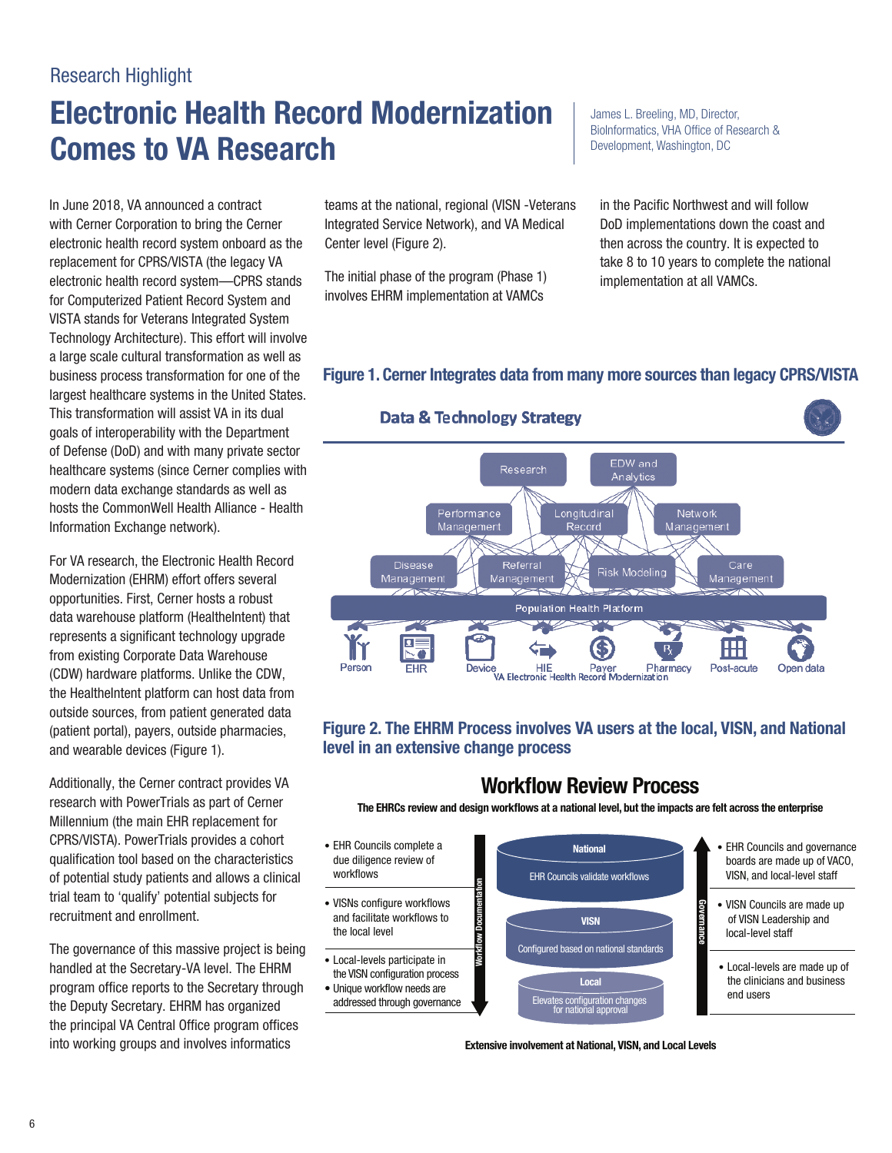### Research Highlight

# Electronic Health Record Modernization | James L. Breeling, MD, Director, **Comes to VA Research Comes to VA Research Development, Washington, DC**

In June 2018, VA announced a contract with Cerner Corporation to bring the Cerner electronic health record system onboard as the replacement for CPRS/VISTA (the legacy VA electronic health record system—CPRS stands for Computerized Patient Record System and VISTA stands for Veterans Integrated System Technology Architecture). This effort will involve a large scale cultural transformation as well as business process transformation for one of the largest healthcare systems in the United States. This transformation will assist VA in its dual goals of interoperability with the Department of Defense (DoD) and with many private sector healthcare systems (since Cerner complies with modern data exchange standards as well as hosts the CommonWell Health Alliance - Health Information Exchange network).

For VA research, the Electronic Health Record Modernization (EHRM) effort offers several opportunities. First, Cerner hosts a robust data warehouse platform (HealtheIntent) that represents a significant technology upgrade from existing Corporate Data Warehouse (CDW) hardware platforms. Unlike the CDW, the HealtheIntent platform can host data from outside sources, from patient generated data (patient portal), payers, outside pharmacies, and wearable devices (Figure 1).

Additionally, the Cerner contract provides VA research with PowerTrials as part of Cerner Millennium (the main EHR replacement for CPRS/VISTA). PowerTrials provides a cohort • EHR Councils complete a • EHR Councils and governance<br>
qualification tool based on the characteristics due diligence review of boards are made up of VACO. qualification tool based on the characteristics due diligence review of boards are made up of VACO,<br>
of potential ctudy potients and ollows a clinical workflows of potential study patients and allows a clinical trial team to 'qualify' potential subjects for recruitment and enrollment. The same state and facilitate workflows to

The governance of this massive project is being<br>
handled at the Secretary-VA level. The EHRM<br>
The VISN configuration process<br>
The VISN configuration process<br>
The VISN configuration process<br>
Local<br>
The Visnamic Local<br>
The V the principal VA Central Office program offices into working groups and involves informatics extensive involvement at National, VISN, and Local Levels

teams at the national, regional (VISN -Veterans in the Pacific Northwest and will follow Integrated Service Network), and VA Medical DoD implementations down the coast and Center level (Figure 2). Then across the country. It is expected to

The initial phase of the program (Phase 1) implementation at all VAMCs. involves EHRM implementation at VAMCs

BioInformatics, VHA Office of Research &

take 8 to 10 years to complete the national

#### Figure 1. Cerner Integrates data from many more sources than legacy CPRS/VISTA



Figure 2. The EHRM Process involves VA users at the local, VISN, and National level in an extensive change process

### **Workflow Review Process**

National

VISN

Configured based on national standards

Local Elevates configuration change

The EHRCs review and design workflows at a national level, but the impacts are felt across the enterprise

- Workflows **EXA COUNCILS EXAMPLE EXAMPLE EXAMPLE COUNCILS VALUAT COUNCILS VALUAT COVER** EXAMPLE EVER THE COUNCILS VALUAT COVER TO VISIT VISIT OF VISIT OF THE COUNCILS VALUATED VISIT VISIT OF VISIT OF THE COUNCILS VALUATED V
- VISNs configure workflows the local level

Work˜ow Documentation

- 
- 



- 
- VISN Councils are made up of VISN Leadership and local-level staff

Governance

• Local-levels are made up of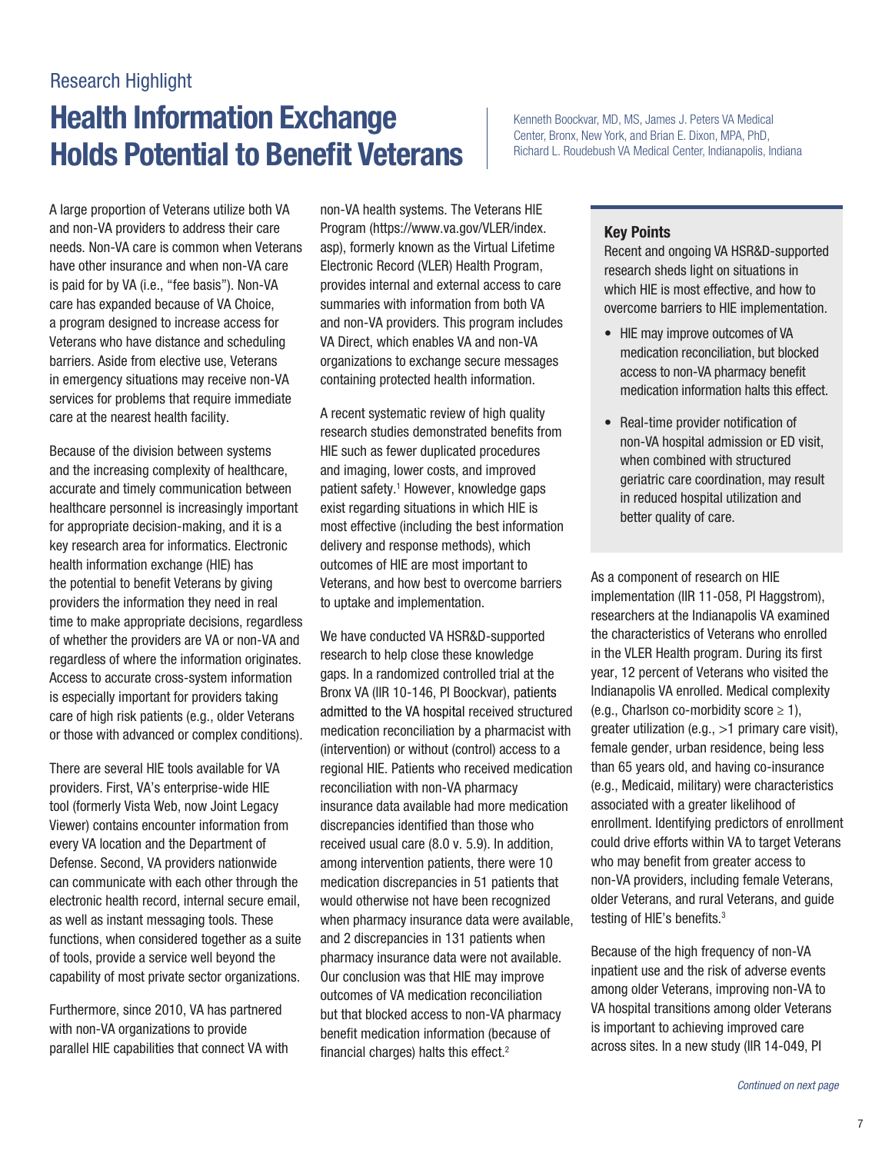### Research Highlight

# Health Information Exchange **Kenneth Boockvar, MD, MS, James J. Peters VA Medical** Holds Potential to Benefit Veterans **For the Richard L. Roudebush VA Medical Center**, Indianapolis, Indiana

A large proportion of Veterans utilize both VA and non-VA providers to address their care needs. Non-VA care is common when Veterans have other insurance and when non-VA care is paid for by VA (i.e., "fee basis"). Non-VA care has expanded because of VA Choice, a program designed to increase access for Veterans who have distance and scheduling barriers. Aside from elective use, Veterans in emergency situations may receive non-VA services for problems that require immediate care at the nearest health facility.

Because of the division between systems and the increasing complexity of healthcare, accurate and timely communication between healthcare personnel is increasingly important for appropriate decision-making, and it is a key research area for informatics. Electronic health information exchange (HIE) has the potential to benefit Veterans by giving providers the information they need in real time to make appropriate decisions, regardless of whether the providers are VA or non-VA and regardless of where the information originates. Access to accurate cross-system information is especially important for providers taking care of high risk patients (e.g., older Veterans or those with advanced or complex conditions).

There are several HIE tools available for VA providers. First, VA's enterprise-wide HIE tool (formerly Vista Web, now Joint Legacy Viewer) contains encounter information from every VA location and the Department of Defense. Second, VA providers nationwide can communicate with each other through the electronic health record, internal secure email, as well as instant messaging tools. These functions, when considered together as a suite of tools, provide a service well beyond the capability of most private sector organizations.

Furthermore, since 2010, VA has partnered with non-VA organizations to provide parallel HIE capabilities that connect VA with non-VA health systems. The Veterans HIE Program [\(https://www.va.gov/VLER/index.](https://www.va.gov/VLER/index) asp), formerly known as the Virtual Lifetime Electronic Record (VLER) Health Program, provides internal and external access to care summaries with information from both VA and non-VA providers. This program includes VA Direct, which enables VA and non-VA organizations to exchange secure messages containing protected health information.

A recent systematic review of high quality research studies demonstrated benefits from HIE such as fewer duplicated procedures and imaging, lower costs, and improved patient safety.<sup>1</sup> However, knowledge gaps exist regarding situations in which HIE is most effective (including the best information delivery and response methods), which outcomes of HIE are most important to Veterans, and how best to overcome barriers to uptake and implementation.

We have conducted VA HSR&D-supported research to help close these knowledge gaps. In a randomized controlled trial at the Bronx VA (IIR 10-146, PI Boockvar), patients admitted to the VA hospital received structured medication reconciliation by a pharmacist with (intervention) or without (control) access to a regional HIE. Patients who received medication reconciliation with non-VA pharmacy insurance data available had more medication discrepancies identifed than those who received usual care (8.0 v. 5.9). In addition, among intervention patients, there were 10 medication discrepancies in 51 patients that would otherwise not have been recognized when pharmacy insurance data were available, and 2 discrepancies in 131 patients when pharmacy insurance data were not available. Our conclusion was that HIE may improve outcomes of VA medication reconciliation but that blocked access to non-VA pharmacy benefit medication information (because of financial charges) halts this effect.<sup>2</sup>

Center, Bronx, New York, and Brian E. Dixon, MPA, PhD,

#### Key Points

Recent and ongoing VA HSR&D-supported research sheds light on situations in which HIE is most effective, and how to overcome barriers to HIE implementation.

- HIE may improve outcomes of VA medication reconciliation, but blocked access to non-VA pharmacy benefit medication information halts this effect.
- Real-time provider notification of non-VA hospital admission or ED visit, when combined with structured geriatric care coordination, may result in reduced hospital utilization and better quality of care.

As a component of research on HIE implementation (IIR 11-058, PI Haggstrom), researchers at the Indianapolis VA examined the characteristics of Veterans who enrolled in the VLER Health program. During its frst year, 12 percent of Veterans who visited the Indianapolis VA enrolled. Medical complexity (e.g., Charlson co-morbidity score  $\geq$  1), greater utilization (e.g., >1 primary care visit), female gender, urban residence, being less than 65 years old, and having co-insurance (e.g., Medicaid, military) were characteristics associated with a greater likelihood of enrollment. Identifying predictors of enrollment could drive efforts within VA to target Veterans who may benefit from greater access to non-VA providers, including female Veterans, older Veterans, and rural Veterans, and guide testing of HIE's benefits.<sup>3</sup>

Because of the high frequency of non-VA inpatient use and the risk of adverse events among older Veterans, improving non-VA to VA hospital transitions among older Veterans is important to achieving improved care across sites. In a new study (IIR 14-049, PI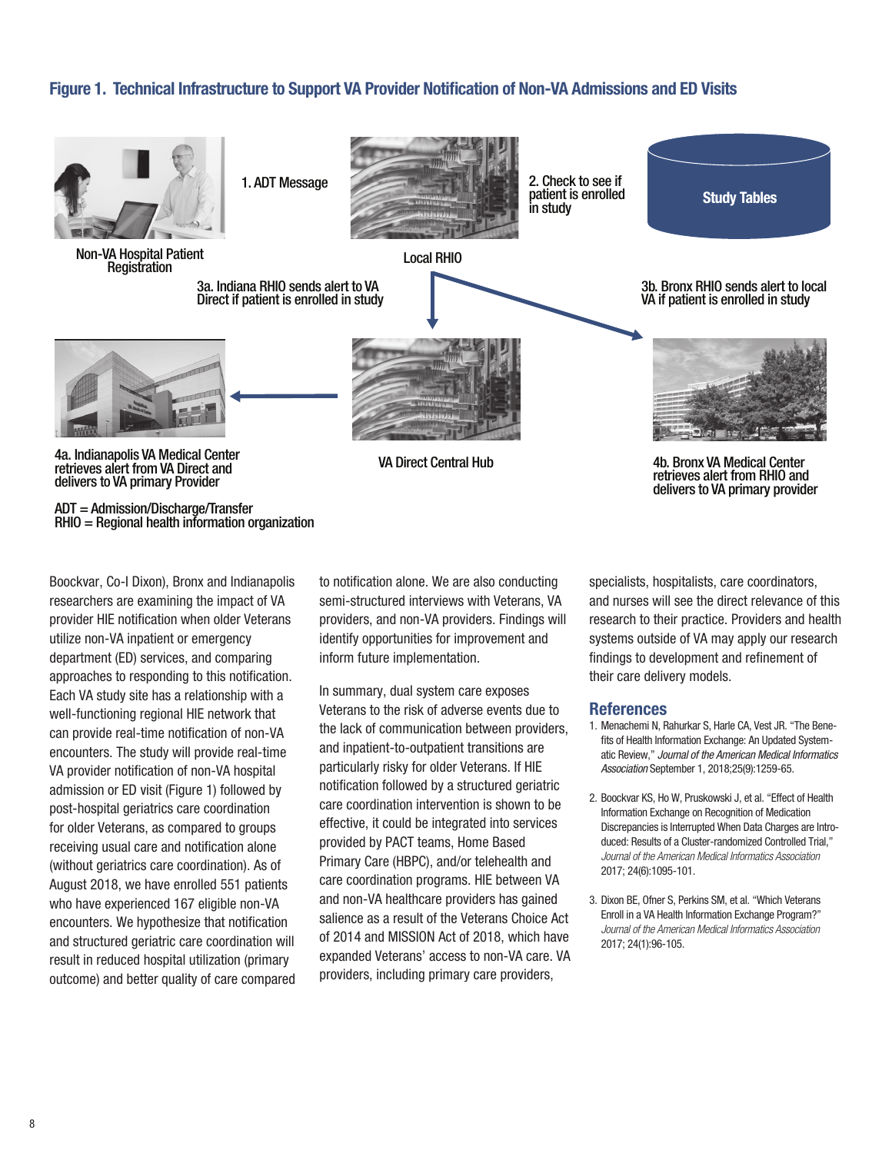#### Figure 1. Technical Infrastructure to Support VA Provider Notifcation of Non-VA Admissions and ED Visits



Boockvar, Co-I Dixon), Bronx and Indianapolis researchers are examining the impact of VA provider HIE notification when older Veterans utilize non-VA inpatient or emergency department (ED) services, and comparing approaches to responding to this notifcation. Each VA study site has a relationship with a well-functioning regional HIE network that can provide real-time notification of non-VA encounters. The study will provide real-time VA provider notification of non-VA hospital admission or ED visit (Figure 1) followed by post-hospital geriatrics care coordination for older Veterans, as compared to groups receiving usual care and notification alone (without geriatrics care coordination). As of August 2018, we have enrolled 551 patients who have experienced 167 eligible non-VA encounters. We hypothesize that notifcation and structured geriatric care coordination will result in reduced hospital utilization (primary outcome) and better quality of care compared

to notifcation alone. We are also conducting semi-structured interviews with Veterans, VA providers, and non-VA providers. Findings will identify opportunities for improvement and inform future implementation.

In summary, dual system care exposes Veterans to the risk of adverse events due to the lack of communication between providers, and inpatient-to-outpatient transitions are particularly risky for older Veterans. If HIE notifcation followed by a structured geriatric care coordination intervention is shown to be effective, it could be integrated into services provided by PACT teams, Home Based Primary Care (HBPC), and/or telehealth and care coordination programs. HIE between VA and non-VA healthcare providers has gained salience as a result of the Veterans Choice Act of 2014 and MISSION Act of 2018, which have expanded Veterans' access to non-VA care. VA providers, including primary care providers,

specialists, hospitalists, care coordinators, and nurses will see the direct relevance of this research to their practice. Providers and health systems outside of VA may apply our research findings to development and refinement of their care delivery models.

- 1. Menachemi N, Rahurkar S, Harle CA, Vest JR. "The Benefits of Health Information Exchange: An Updated Systematic Review," *Journal of the American Medical Informatics Association* September 1, 2018;25(9):1259-65.
- 2. Boockvar KS, Ho W, Pruskowski J, et al. "Effect of Health Information Exchange on Recognition of Medication Discrepancies is Interrupted When Data Charges are Introduced: Results of a Cluster-randomized Controlled Trial," *Journal of the American Medical Informatics Association*  2017; 24(6):1095-101.
- 3. Dixon BE, Ofner S, Perkins SM, et al. "Which Veterans Enroll in a VA Health Information Exchange Program?" *Journal of the American Medical Informatics Association*  2017; 24(1):96-105.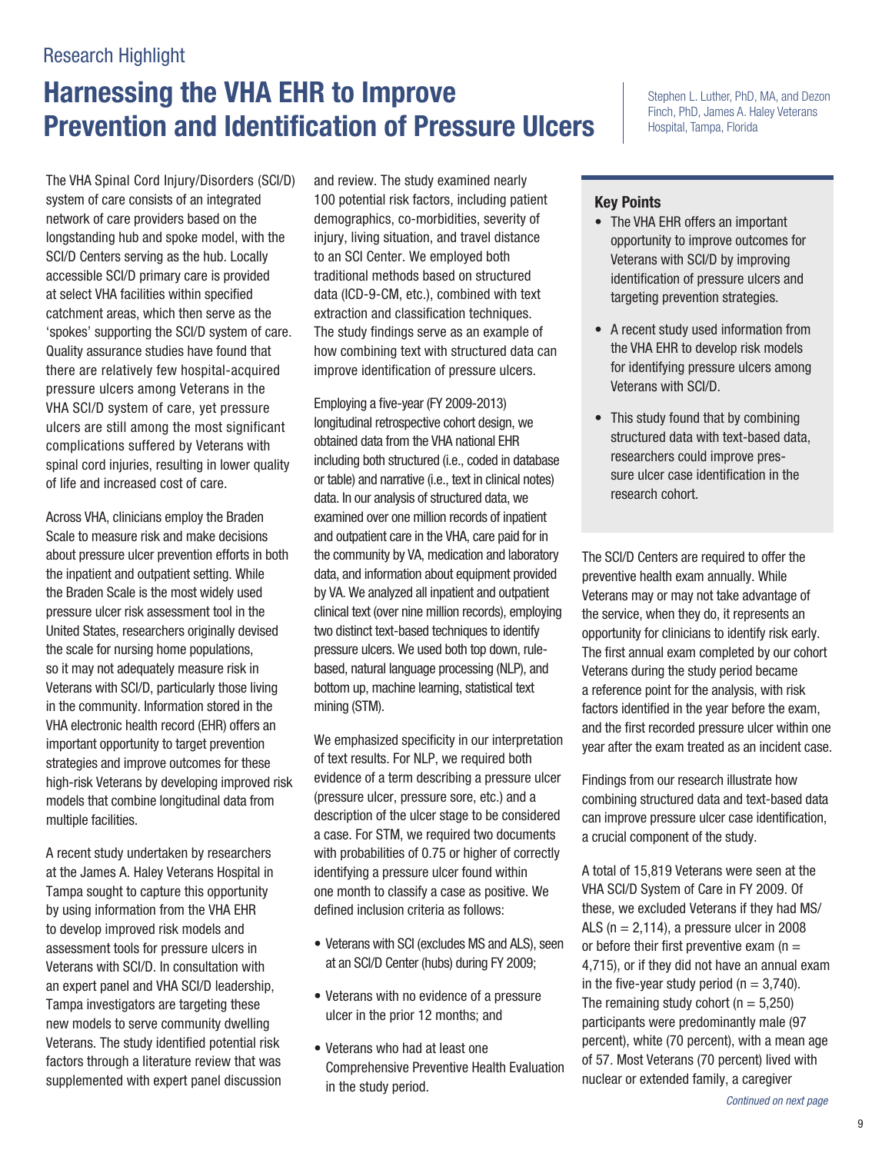# Harnessing the VHA EHR to Improve **Prevention and Identification of Pressure Ulcers**

 The VHA Spinal Cord Injury/Disorders (SCI/D) complications suffered by Veterans with system of care consists of an integrated network of care providers based on the longstanding hub and spoke model, with the SCI/D Centers serving as the hub. Locally accessible SCI/D primary care is provided at select VHA facilities within specifed catchment areas, which then serve as the 'spokes' supporting the SCI/D system of care. Quality assurance studies have found that there are relatively few hospital-acquired pressure ulcers among Veterans in the VHA SCI/D system of care, yet pressure ulcers are still among the most significant spinal cord injuries, resulting in lower quality of life and increased cost of care.

multiple facilities. Across VHA, clinicians employ the Braden Scale to measure risk and make decisions about pressure ulcer prevention efforts in both the inpatient and outpatient setting. While the Braden Scale is the most widely used pressure ulcer risk assessment tool in the United States, researchers originally devised the scale for nursing home populations, so it may not adequately measure risk in Veterans with SCI/D, particularly those living in the community. Information stored in the VHA electronic health record (EHR) offers an important opportunity to target prevention strategies and improve outcomes for these high-risk Veterans by developing improved risk models that combine longitudinal data from

A recent study undertaken by researchers at the James A. Haley Veterans Hospital in Tampa sought to capture this opportunity by using information from the VHA EHR to develop improved risk models and assessment tools for pressure ulcers in Veterans with SCI/D. In consultation with an expert panel and VHA SCI/D leadership, Tampa investigators are targeting these new models to serve community dwelling Veterans. The study identifed potential risk factors through a literature review that was supplemented with expert panel discussion

and review. The study examined nearly 100 potential risk factors, including patient demographics, co-morbidities, severity of injury, living situation, and travel distance to an SCI Center. We employed both traditional methods based on structured data (ICD-9-CM, etc.), combined with text extraction and classification techniques. The study findings serve as an example of how combining text with structured data can improve identification of pressure ulcers.

Employing a five-year (FY 2009-2013) longitudinal retrospective cohort design, we obtained data from the VHA national EHR including both structured (i.e., coded in database or table) and narrative (i.e., text in clinical notes) data. In our analysis of structured data, we examined over one million records of inpatient and outpatient care in the VHA, care paid for in the community by VA, medication and laboratory data, and information about equipment provided by VA. We analyzed all inpatient and outpatient clinical text (over nine million records), employing two distinct text-based techniques to identify pressure ulcers. We used both top down, rulebased, natural language processing (NLP), and bottom up, machine learning, statistical text mining (STM).

We emphasized specificity in our interpretation of text results. For NLP, we required both evidence of a term describing a pressure ulcer (pressure ulcer, pressure sore, etc.) and a description of the ulcer stage to be considered a case. For STM, we required two documents with probabilities of 0.75 or higher of correctly identifying a pressure ulcer found within one month to classify a case as positive. We defned inclusion criteria as follows:

- Veterans with SCI (excludes MS and ALS), seen at an SCI/D Center (hubs) during FY 2009;
- Veterans with no evidence of a pressure ulcer in the prior 12 months; and
- Veterans who had at least one Comprehensive Preventive Health Evaluation in the study period.

Stephen L. Luther, PhD, MA, and Dezon Finch, PhD, James A. Haley Veterans Hospital, Tampa, Florida

#### Key Points

- The VHA EHR offers an important opportunity to improve outcomes for Veterans with SCI/D by improving identification of pressure ulcers and targeting prevention strategies.
- A recent study used information from the VHA EHR to develop risk models for identifying pressure ulcers among Veterans with SCI/D.
- This study found that by combining structured data with text-based data, researchers could improve pressure ulcer case identification in the research cohort.

The SCI/D Centers are required to offer the preventive health exam annually. While Veterans may or may not take advantage of the service, when they do, it represents an opportunity for clinicians to identify risk early. The first annual exam completed by our cohort Veterans during the study period became a reference point for the analysis, with risk factors identifed in the year before the exam, and the first recorded pressure ulcer within one year after the exam treated as an incident case.

Findings from our research illustrate how combining structured data and text-based data can improve pressure ulcer case identification, a crucial component of the study.

A total of 15,819 Veterans were seen at the VHA SCI/D System of Care in FY 2009. Of these, we excluded Veterans if they had MS/ ALS ( $n = 2,114$ ), a pressure ulcer in 2008 or before their first preventive exam ( $n =$ 4,715), or if they did not have an annual exam in the five-year study period ( $n = 3,740$ ). The remaining study cohort  $(n = 5,250)$ participants were predominantly male (97 percent), white (70 percent), with a mean age of 57. Most Veterans (70 percent) lived with nuclear or extended family, a caregiver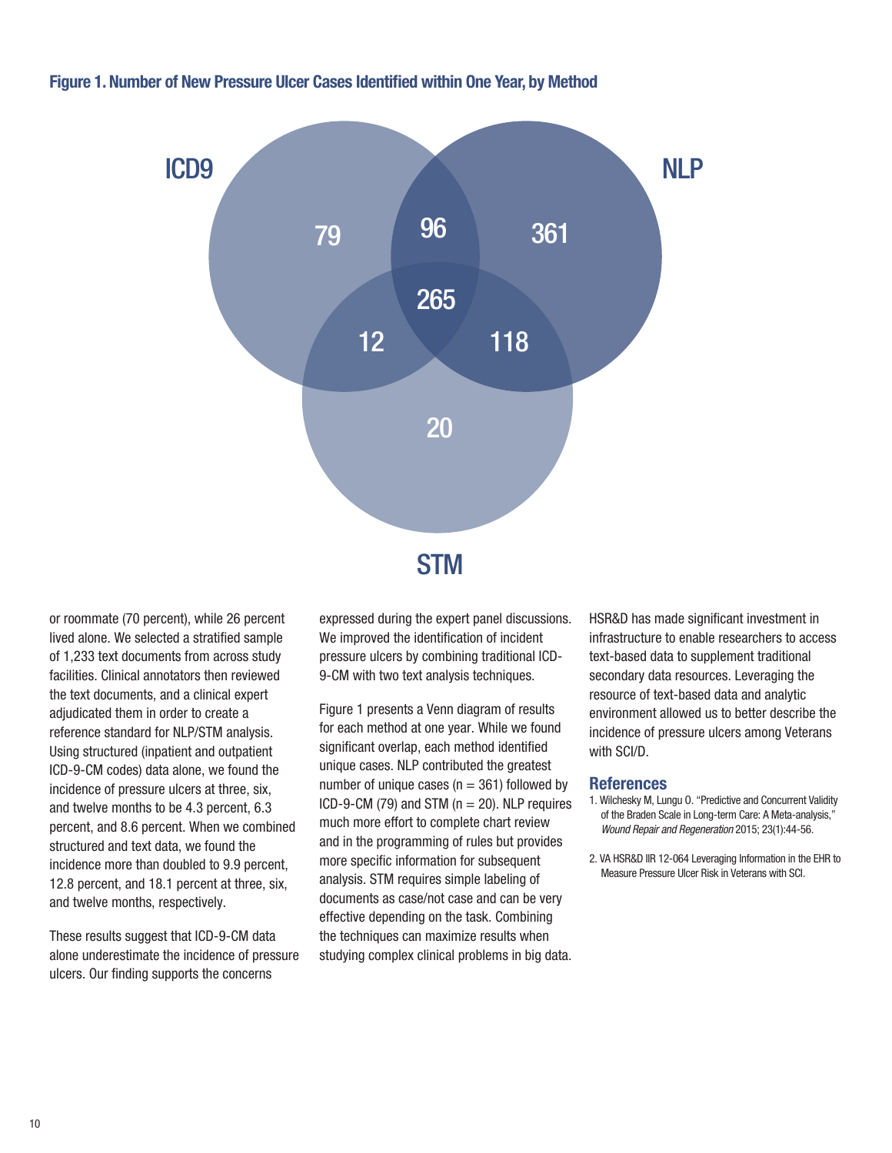#### Figure 1. Number of New Pressure Ulcer Cases Identifed within One Year, by Method



or roommate (70 percent), while 26 percent lived alone. We selected a stratifed sample of 1,233 text documents from across study facilities. Clinical annotators then reviewed the text documents, and a clinical expert adjudicated them in order to create a reference standard for NLP/STM analysis. Using structured (inpatient and outpatient ICD-9-CM codes) data alone, we found the incidence of pressure ulcers at three, six, and twelve months to be 4.3 percent, 6.3 percent, and 8.6 percent. When we combined structured and text data, we found the incidence more than doubled to 9.9 percent, 12.8 percent, and 18.1 percent at three, six, and twelve months, respectively.

These results suggest that ICD-9-CM data alone underestimate the incidence of pressure ulcers. Our finding supports the concerns

expressed during the expert panel discussions. We improved the identification of incident pressure ulcers by combining traditional ICD-9-CM with two text analysis techniques.

Figure 1 presents a Venn diagram of results for each method at one year. While we found significant overlap, each method identified unique cases. NLP contributed the greatest number of unique cases ( $n = 361$ ) followed by ICD-9-CM (79) and STM ( $n = 20$ ). NLP requires much more effort to complete chart review and in the programming of rules but provides more specific information for subsequent analysis. STM requires simple labeling of documents as case/not case and can be very effective depending on the task. Combining the techniques can maximize results when studying complex clinical problems in big data. HSR&D has made significant investment in infrastructure to enable researchers to access text-based data to supplement traditional secondary data resources. Leveraging the resource of text-based data and analytic environment allowed us to better describe the incidence of pressure ulcers among Veterans with SCI/D.

- Wound Repair and Regeneration 2015; 23(1):44-56. 1. Wilchesky M, Lungu O. "Predictive and Concurrent Validity of the Braden Scale in Long-term Care: A Meta-analysis,"
- 2. VA HSR&D IIR 12-064 Leveraging Information in the EHR to Measure Pressure Ulcer Risk in Veterans with SCI.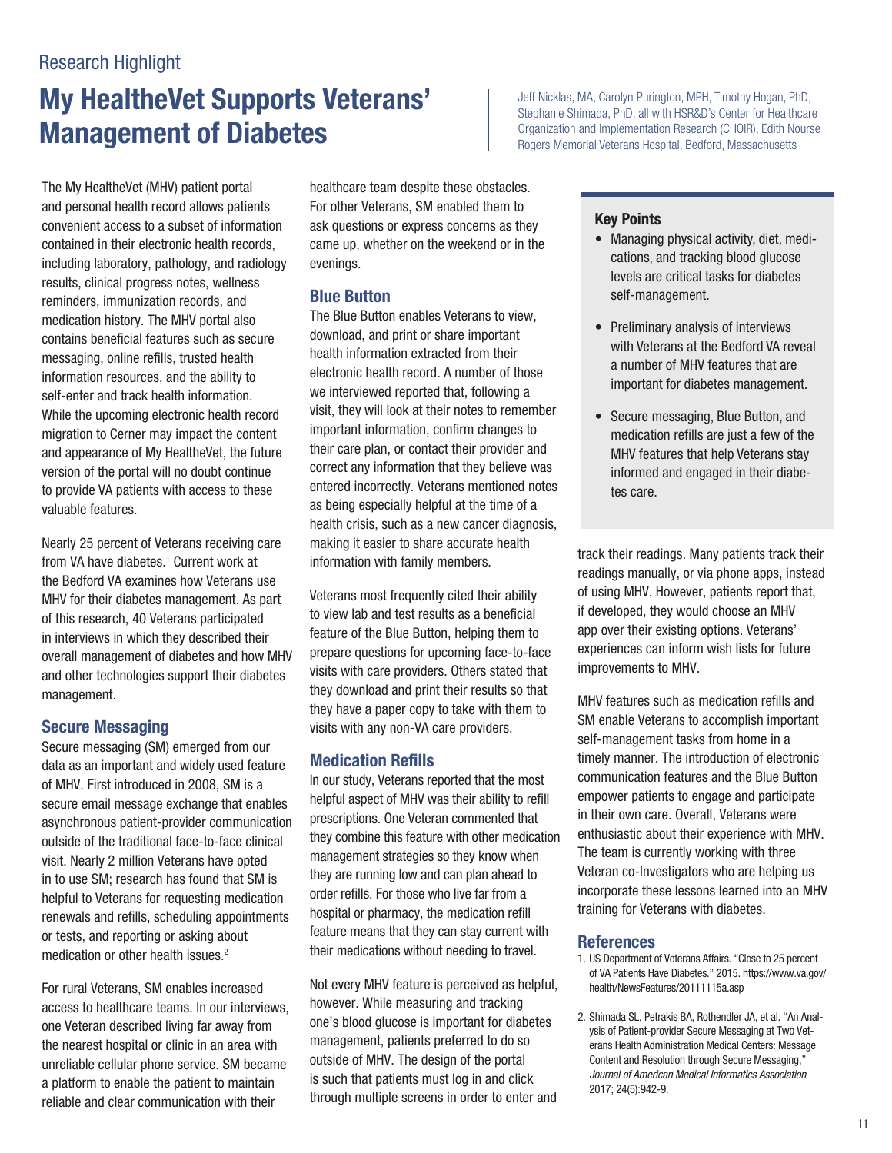# My HealtheVet Supports Veterans' Jeff Nicklas, MA, Carolyn Purington, MPH, Timothy Hogan, PhD, **Management of Diabetes Organization and Implementation Research (CHOIR)**, Edith Nourse

The My HealtheVet (MHV) patient portal and personal health record allows patients convenient access to a subset of information contained in their electronic health records, including laboratory, pathology, and radiology results, clinical progress notes, wellness reminders, immunization records, and medication history. The MHV portal also contains beneficial features such as secure messaging, online reflls, trusted health information resources, and the ability to self-enter and track health information. While the upcoming electronic health record migration to Cerner may impact the content and appearance of My HealtheVet, the future version of the portal will no doubt continue to provide VA patients with access to these valuable features.

Nearly 25 percent of Veterans receiving care from VA have diabetes.<sup>1</sup> Current work at the Bedford VA examines how Veterans use MHV for their diabetes management. As part of this research, 40 Veterans participated in interviews in which they described their overall management of diabetes and how MHV and other technologies support their diabetes management.

### Secure Messaging

Secure messaging (SM) emerged from our data as an important and widely used feature of MHV. First introduced in 2008, SM is a secure email message exchange that enables asynchronous patient-provider communication outside of the traditional face-to-face clinical visit. Nearly 2 million Veterans have opted in to use SM; research has found that SM is helpful to Veterans for requesting medication renewals and reflls, scheduling appointments or tests, and reporting or asking about medication or other health issues.<sup>2</sup>

For rural Veterans, SM enables increased access to healthcare teams. In our interviews, one Veteran described living far away from the nearest hospital or clinic in an area with unreliable cellular phone service. SM became a platform to enable the patient to maintain reliable and clear communication with their

healthcare team despite these obstacles. For other Veterans, SM enabled them to ask questions or express concerns as they came up, whether on the weekend or in the evenings.

### Blue Button

The Blue Button enables Veterans to view, download, and print or share important health information extracted from their electronic health record. A number of those we interviewed reported that, following a visit, they will look at their notes to remember important information, confrm changes to their care plan, or contact their provider and correct any information that they believe was entered incorrectly. Veterans mentioned notes as being especially helpful at the time of a health crisis, such as a new cancer diagnosis, making it easier to share accurate health information with family members.

Veterans most frequently cited their ability to view lab and test results as a beneficial feature of the Blue Button, helping them to prepare questions for upcoming face-to-face visits with care providers. Others stated that they download and print their results so that they have a paper copy to take with them to visits with any non-VA care providers.

### Medication Reflls

In our study, Veterans reported that the most helpful aspect of MHV was their ability to refll prescriptions. One Veteran commented that they combine this feature with other medication management strategies so they know when they are running low and can plan ahead to order reflls. For those who live far from a hospital or pharmacy, the medication refll feature means that they can stay current with their medications without needing to travel.

Not every MHV feature is perceived as helpful, however. While measuring and tracking one's blood glucose is important for diabetes management, patients preferred to do so outside of MHV. The design of the portal is such that patients must log in and click through multiple screens in order to enter and

Stephanie Shimada, PhD, all with HSR&D's Center for Healthcare Rogers Memorial Veterans Hospital, Bedford, Massachusetts

#### Key Points

- Managing physical activity, diet, medications, and tracking blood glucose levels are critical tasks for diabetes self-management.
- Preliminary analysis of interviews with Veterans at the Bedford VA reveal a number of MHV features that are important for diabetes management.
- Secure messaging, Blue Button, and medication refills are just a few of the MHV features that help Veterans stay informed and engaged in their diabetes care.

track their readings. Many patients track their readings manually, or via phone apps, instead of using MHV. However, patients report that, if developed, they would choose an MHV app over their existing options. Veterans' experiences can inform wish lists for future improvements to MHV.

MHV features such as medication refills and SM enable Veterans to accomplish important self-management tasks from home in a timely manner. The introduction of electronic communication features and the Blue Button empower patients to engage and participate in their own care. Overall, Veterans were enthusiastic about their experience with MHV. The team is currently working with three Veteran co-Investigators who are helping us incorporate these lessons learned into an MHV training for Veterans with diabetes.

- 1. US Department of Veterans Affairs. "Close to 25 percent of VA Patients Have Diabetes." 2015.<https://www.va.gov>/ health/NewsFeatures/20111115a.asp
- 2. Shimada SL, Petrakis BA, Rothendler JA, et al. "An Analysis of Patient-provider Secure Messaging at Two Veterans Health Administration Medical Centers: Message Content and Resolution through Secure Messaging," *Journal of American Medical Informatics Association*  2017; 24(5):942-9.